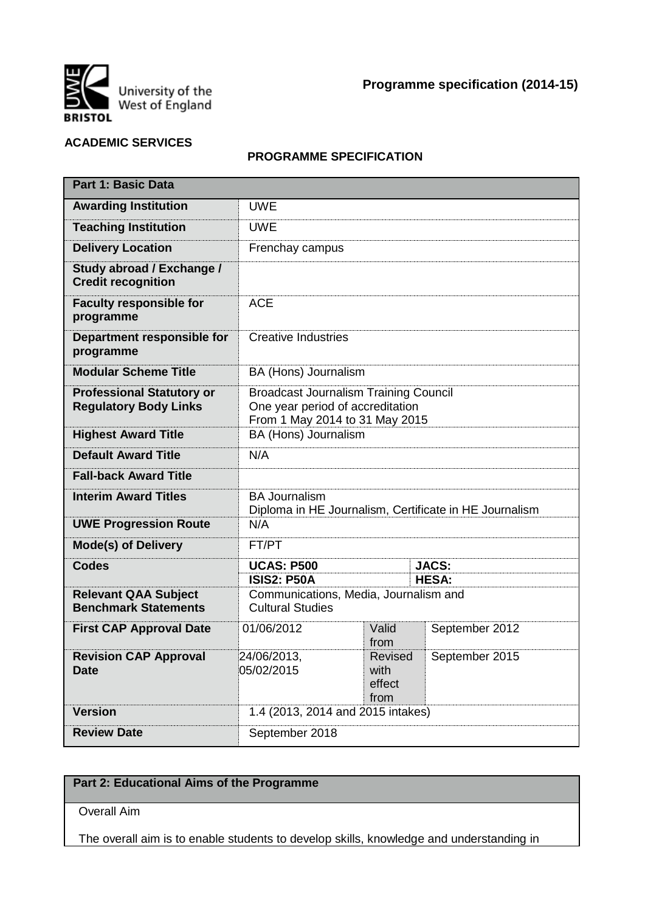

# **ACADEMIC SERVICES**

# **PROGRAMME SPECIFICATION**

| <b>Part 1: Basic Data</b>                                        |                                                                                                                    |  |                                                        |  |  |  |
|------------------------------------------------------------------|--------------------------------------------------------------------------------------------------------------------|--|--------------------------------------------------------|--|--|--|
| <b>Awarding Institution</b>                                      | <b>UWE</b>                                                                                                         |  |                                                        |  |  |  |
| <b>Teaching Institution</b>                                      | <b>UWE</b>                                                                                                         |  |                                                        |  |  |  |
| <b>Delivery Location</b>                                         | Frenchay campus                                                                                                    |  |                                                        |  |  |  |
| Study abroad / Exchange /<br><b>Credit recognition</b>           |                                                                                                                    |  |                                                        |  |  |  |
| <b>Faculty responsible for</b><br>programme                      | <b>ACE</b>                                                                                                         |  |                                                        |  |  |  |
| Department responsible for<br>programme                          | <b>Creative Industries</b>                                                                                         |  |                                                        |  |  |  |
| <b>Modular Scheme Title</b>                                      | BA (Hons) Journalism                                                                                               |  |                                                        |  |  |  |
| <b>Professional Statutory or</b><br><b>Regulatory Body Links</b> | <b>Broadcast Journalism Training Council</b><br>One year period of accreditation<br>From 1 May 2014 to 31 May 2015 |  |                                                        |  |  |  |
| <b>Highest Award Title</b>                                       | BA (Hons) Journalism                                                                                               |  |                                                        |  |  |  |
| <b>Default Award Title</b>                                       | N/A                                                                                                                |  |                                                        |  |  |  |
| <b>Fall-back Award Title</b>                                     |                                                                                                                    |  |                                                        |  |  |  |
| <b>Interim Award Titles</b>                                      | <b>BA Journalism</b>                                                                                               |  | Diploma in HE Journalism, Certificate in HE Journalism |  |  |  |
| <b>UWE Progression Route</b>                                     | N/A                                                                                                                |  |                                                        |  |  |  |
| <b>Mode(s) of Delivery</b>                                       | FT/PT                                                                                                              |  |                                                        |  |  |  |
| <b>Codes</b>                                                     | <b>UCAS: P500</b>                                                                                                  |  | <b>JACS:</b>                                           |  |  |  |
| <b>Relevant QAA Subject</b><br><b>Benchmark Statements</b>       | <b>HESA:</b><br><b>ISIS2: P50A</b><br>Communications, Media, Journalism and<br><b>Cultural Studies</b>             |  |                                                        |  |  |  |
| <b>First CAP Approval Date</b>                                   | 01/06/2012<br>Valid<br>September 2012<br>from                                                                      |  |                                                        |  |  |  |
| <b>Revision CAP Approval</b><br><b>Date</b>                      | 24/06/2013,<br><b>Revised</b><br>05/02/2015<br>with<br>effect<br>from                                              |  | September 2015                                         |  |  |  |
| <b>Version</b>                                                   | 1.4 (2013, 2014 and 2015 intakes)                                                                                  |  |                                                        |  |  |  |
| <b>Review Date</b>                                               | September 2018                                                                                                     |  |                                                        |  |  |  |

# **Part 2: Educational Aims of the Programme**

Overall Aim

The overall aim is to enable students to develop skills, knowledge and understanding in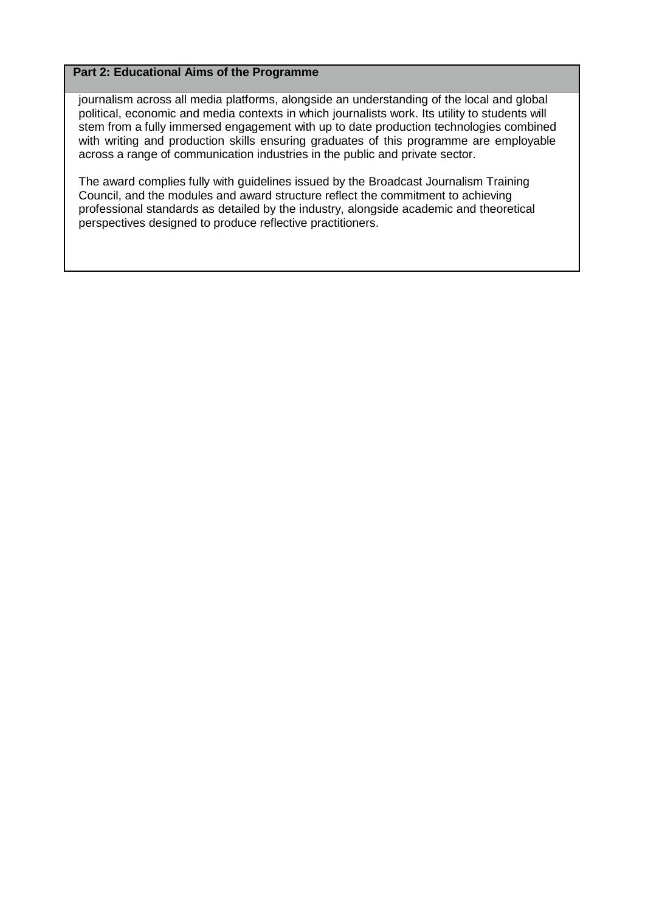## **Part 2: Educational Aims of the Programme**

journalism across all media platforms, alongside an understanding of the local and global political, economic and media contexts in which journalists work. Its utility to students will stem from a fully immersed engagement with up to date production technologies combined with writing and production skills ensuring graduates of this programme are employable across a range of communication industries in the public and private sector.

The award complies fully with guidelines issued by the Broadcast Journalism Training Council, and the modules and award structure reflect the commitment to achieving professional standards as detailed by the industry, alongside academic and theoretical perspectives designed to produce reflective practitioners.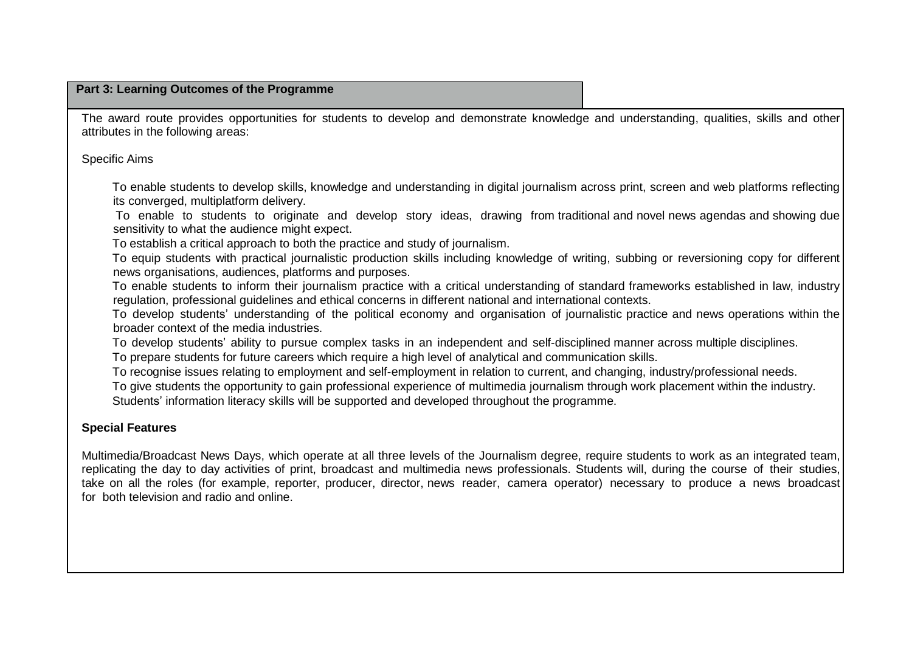#### **Part 3: Learning Outcomes of the Programme**

The award route provides opportunities for students to develop and demonstrate knowledge and understanding, qualities, skills and other attributes in the following areas:

Specific Aims

To enable students to develop skills, knowledge and understanding in digital journalism across print, screen and web platforms reflecting its converged, multiplatform delivery.

To enable to students to originate and develop story ideas, drawing from traditional and novel news agendas and showing due sensitivity to what the audience might expect.

To establish a critical approach to both the practice and study of journalism.

To equip students with practical journalistic production skills including knowledge of writing, subbing or reversioning copy for different news organisations, audiences, platforms and purposes.

To enable students to inform their journalism practice with a critical understanding of standard frameworks established in law, industry regulation, professional guidelines and ethical concerns in different national and international contexts.

To develop students' understanding of the political economy and organisation of journalistic practice and news operations within the broader context of the media industries.

To develop students' ability to pursue complex tasks in an independent and self-disciplined manner across multiple disciplines.

To prepare students for future careers which require a high level of analytical and communication skills.

To recognise issues relating to employment and self-employment in relation to current, and changing, industry/professional needs.

To give students the opportunity to gain professional experience of multimedia journalism through work placement within the industry. Students' information literacy skills will be supported and developed throughout the programme.

## **Special Features**

Multimedia/Broadcast News Days, which operate at all three levels of the Journalism degree, require students to work as an integrated team, replicating the day to day activities of print, broadcast and multimedia news professionals. Students will, during the course of their studies, take on all the roles (for example, reporter, producer, director, news reader, camera operator) necessary to produce a news broadcast for both television and radio and online.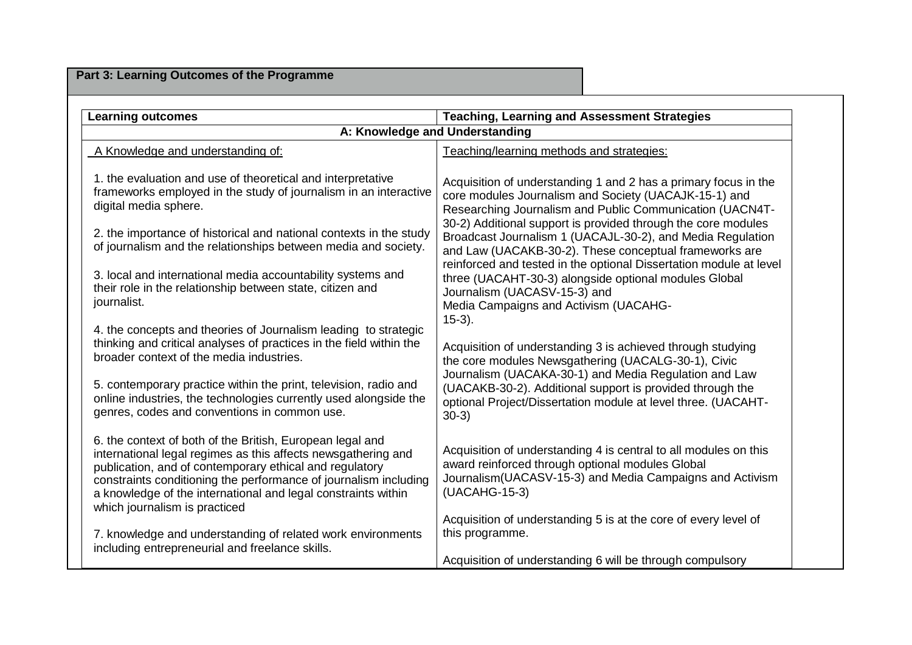# **Part 3: Learning Outcomes of the Programme**

| <b>Learning outcomes</b>                                                                                                                                                                                                                                                                                                                                    | <b>Teaching, Learning and Assessment Strategies</b>                                                                                                                                                  |  |  |  |  |  |  |
|-------------------------------------------------------------------------------------------------------------------------------------------------------------------------------------------------------------------------------------------------------------------------------------------------------------------------------------------------------------|------------------------------------------------------------------------------------------------------------------------------------------------------------------------------------------------------|--|--|--|--|--|--|
| A: Knowledge and Understanding                                                                                                                                                                                                                                                                                                                              |                                                                                                                                                                                                      |  |  |  |  |  |  |
| A Knowledge and understanding of:                                                                                                                                                                                                                                                                                                                           | Teaching/learning methods and strategies:                                                                                                                                                            |  |  |  |  |  |  |
| 1. the evaluation and use of theoretical and interpretative<br>frameworks employed in the study of journalism in an interactive<br>digital media sphere.                                                                                                                                                                                                    | Acquisition of understanding 1 and 2 has a primary focus in the<br>core modules Journalism and Society (UACAJK-15-1) and<br>Researching Journalism and Public Communication (UACN4T-                 |  |  |  |  |  |  |
| 2. the importance of historical and national contexts in the study<br>of journalism and the relationships between media and society.                                                                                                                                                                                                                        | 30-2) Additional support is provided through the core modules<br>Broadcast Journalism 1 (UACAJL-30-2), and Media Regulation<br>and Law (UACAKB-30-2). These conceptual frameworks are                |  |  |  |  |  |  |
| 3. local and international media accountability systems and<br>their role in the relationship between state, citizen and<br>journalist.                                                                                                                                                                                                                     | reinforced and tested in the optional Dissertation module at level<br>three (UACAHT-30-3) alongside optional modules Global<br>Journalism (UACASV-15-3) and<br>Media Campaigns and Activism (UACAHG- |  |  |  |  |  |  |
| 4. the concepts and theories of Journalism leading to strategic<br>thinking and critical analyses of practices in the field within the<br>broader context of the media industries.                                                                                                                                                                          | $15-3$ ).<br>Acquisition of understanding 3 is achieved through studying<br>the core modules Newsgathering (UACALG-30-1), Civic                                                                      |  |  |  |  |  |  |
| 5. contemporary practice within the print, television, radio and<br>online industries, the technologies currently used alongside the<br>genres, codes and conventions in common use.                                                                                                                                                                        | Journalism (UACAKA-30-1) and Media Regulation and Law<br>(UACAKB-30-2). Additional support is provided through the<br>optional Project/Dissertation module at level three. (UACAHT-<br>$30-3)$       |  |  |  |  |  |  |
| 6. the context of both of the British, European legal and<br>international legal regimes as this affects newsgathering and<br>publication, and of contemporary ethical and regulatory<br>constraints conditioning the performance of journalism including<br>a knowledge of the international and legal constraints within<br>which journalism is practiced | Acquisition of understanding 4 is central to all modules on this<br>award reinforced through optional modules Global<br>Journalism (UACASV-15-3) and Media Campaigns and Activism<br>(UACAHG-15-3)   |  |  |  |  |  |  |
| 7. knowledge and understanding of related work environments<br>including entrepreneurial and freelance skills.                                                                                                                                                                                                                                              | Acquisition of understanding 5 is at the core of every level of<br>this programme.                                                                                                                   |  |  |  |  |  |  |
|                                                                                                                                                                                                                                                                                                                                                             | Acquisition of understanding 6 will be through compulsory                                                                                                                                            |  |  |  |  |  |  |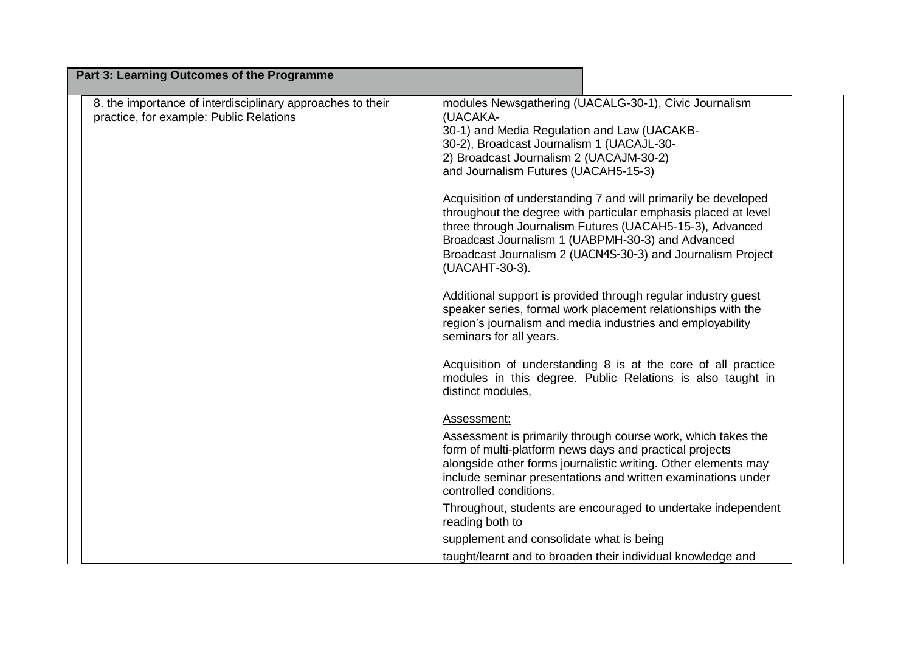| Part 3: Learning Outcomes of the Programme                                                            |                                                                                                                                                                                                                                                                                                                                                                                                                                                                                                                                                                                                                                                                                                                                                                                                                                                                                                                                                 |  |
|-------------------------------------------------------------------------------------------------------|-------------------------------------------------------------------------------------------------------------------------------------------------------------------------------------------------------------------------------------------------------------------------------------------------------------------------------------------------------------------------------------------------------------------------------------------------------------------------------------------------------------------------------------------------------------------------------------------------------------------------------------------------------------------------------------------------------------------------------------------------------------------------------------------------------------------------------------------------------------------------------------------------------------------------------------------------|--|
| 8. the importance of interdisciplinary approaches to their<br>practice, for example: Public Relations | modules Newsgathering (UACALG-30-1), Civic Journalism<br>(UACAKA-<br>30-1) and Media Regulation and Law (UACAKB-<br>30-2), Broadcast Journalism 1 (UACAJL-30-<br>2) Broadcast Journalism 2 (UACAJM-30-2)<br>and Journalism Futures (UACAH5-15-3)<br>Acquisition of understanding 7 and will primarily be developed<br>throughout the degree with particular emphasis placed at level<br>three through Journalism Futures (UACAH5-15-3), Advanced<br>Broadcast Journalism 1 (UABPMH-30-3) and Advanced<br>Broadcast Journalism 2 (UACN4S-30-3) and Journalism Project<br>(UACAHT-30-3).<br>Additional support is provided through regular industry guest<br>speaker series, formal work placement relationships with the<br>region's journalism and media industries and employability<br>seminars for all years.<br>Acquisition of understanding 8 is at the core of all practice<br>modules in this degree. Public Relations is also taught in |  |
|                                                                                                       | distinct modules,<br>Assessment:                                                                                                                                                                                                                                                                                                                                                                                                                                                                                                                                                                                                                                                                                                                                                                                                                                                                                                                |  |
|                                                                                                       | Assessment is primarily through course work, which takes the<br>form of multi-platform news days and practical projects<br>alongside other forms journalistic writing. Other elements may<br>include seminar presentations and written examinations under<br>controlled conditions.                                                                                                                                                                                                                                                                                                                                                                                                                                                                                                                                                                                                                                                             |  |
|                                                                                                       | Throughout, students are encouraged to undertake independent<br>reading both to                                                                                                                                                                                                                                                                                                                                                                                                                                                                                                                                                                                                                                                                                                                                                                                                                                                                 |  |
|                                                                                                       | supplement and consolidate what is being                                                                                                                                                                                                                                                                                                                                                                                                                                                                                                                                                                                                                                                                                                                                                                                                                                                                                                        |  |
|                                                                                                       | taught/learnt and to broaden their individual knowledge and                                                                                                                                                                                                                                                                                                                                                                                                                                                                                                                                                                                                                                                                                                                                                                                                                                                                                     |  |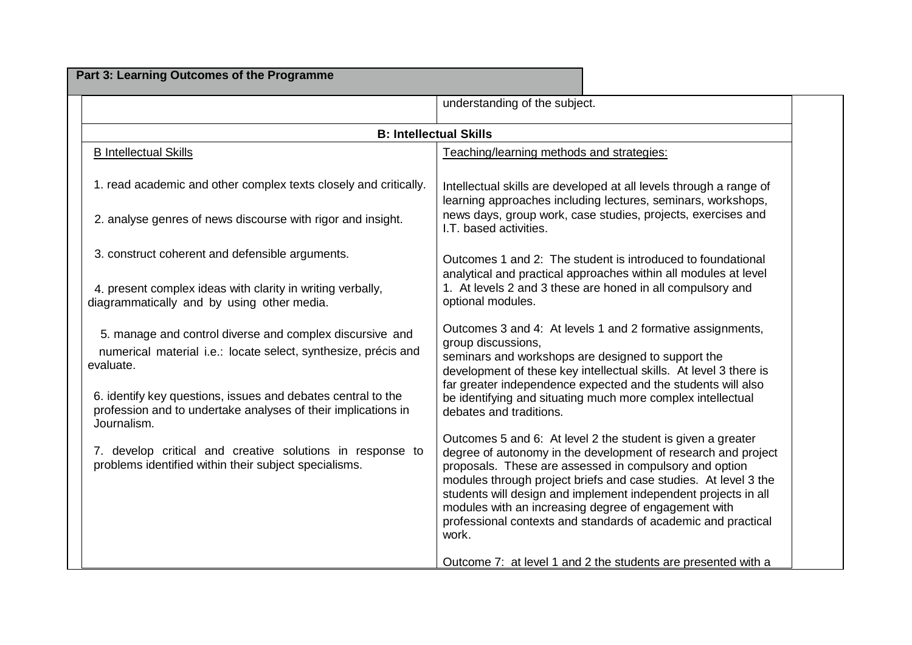| Part 3: Learning Outcomes of the Programme                                                                                                   |                                                                                                                                                                                                                                                                                                                                                                                                                                                               |
|----------------------------------------------------------------------------------------------------------------------------------------------|---------------------------------------------------------------------------------------------------------------------------------------------------------------------------------------------------------------------------------------------------------------------------------------------------------------------------------------------------------------------------------------------------------------------------------------------------------------|
|                                                                                                                                              | understanding of the subject.                                                                                                                                                                                                                                                                                                                                                                                                                                 |
|                                                                                                                                              | <b>B: Intellectual Skills</b>                                                                                                                                                                                                                                                                                                                                                                                                                                 |
| <b>B</b> Intellectual Skills                                                                                                                 | Teaching/learning methods and strategies:                                                                                                                                                                                                                                                                                                                                                                                                                     |
| 1. read academic and other complex texts closely and critically.                                                                             | Intellectual skills are developed at all levels through a range of<br>learning approaches including lectures, seminars, workshops,                                                                                                                                                                                                                                                                                                                            |
| 2. analyse genres of news discourse with rigor and insight.                                                                                  | news days, group work, case studies, projects, exercises and<br>I.T. based activities.                                                                                                                                                                                                                                                                                                                                                                        |
| 3. construct coherent and defensible arguments.                                                                                              | Outcomes 1 and 2: The student is introduced to foundational<br>analytical and practical approaches within all modules at level                                                                                                                                                                                                                                                                                                                                |
| 4. present complex ideas with clarity in writing verbally,<br>diagrammatically and by using other media.                                     | 1. At levels 2 and 3 these are honed in all compulsory and<br>optional modules.                                                                                                                                                                                                                                                                                                                                                                               |
| 5. manage and control diverse and complex discursive and<br>numerical material i.e.: locate select, synthesize, précis and<br>evaluate.      | Outcomes 3 and 4: At levels 1 and 2 formative assignments,<br>group discussions,<br>seminars and workshops are designed to support the<br>development of these key intellectual skills. At level 3 there is<br>far greater independence expected and the students will also                                                                                                                                                                                   |
| 6. identify key questions, issues and debates central to the<br>profession and to undertake analyses of their implications in<br>Journalism. | be identifying and situating much more complex intellectual<br>debates and traditions.                                                                                                                                                                                                                                                                                                                                                                        |
| 7. develop critical and creative solutions in response to<br>problems identified within their subject specialisms.                           | Outcomes 5 and 6: At level 2 the student is given a greater<br>degree of autonomy in the development of research and project<br>proposals. These are assessed in compulsory and option<br>modules through project briefs and case studies. At level 3 the<br>students will design and implement independent projects in all<br>modules with an increasing degree of engagement with<br>professional contexts and standards of academic and practical<br>work. |
|                                                                                                                                              | Outcome 7: at level 1 and 2 the students are presented with a                                                                                                                                                                                                                                                                                                                                                                                                 |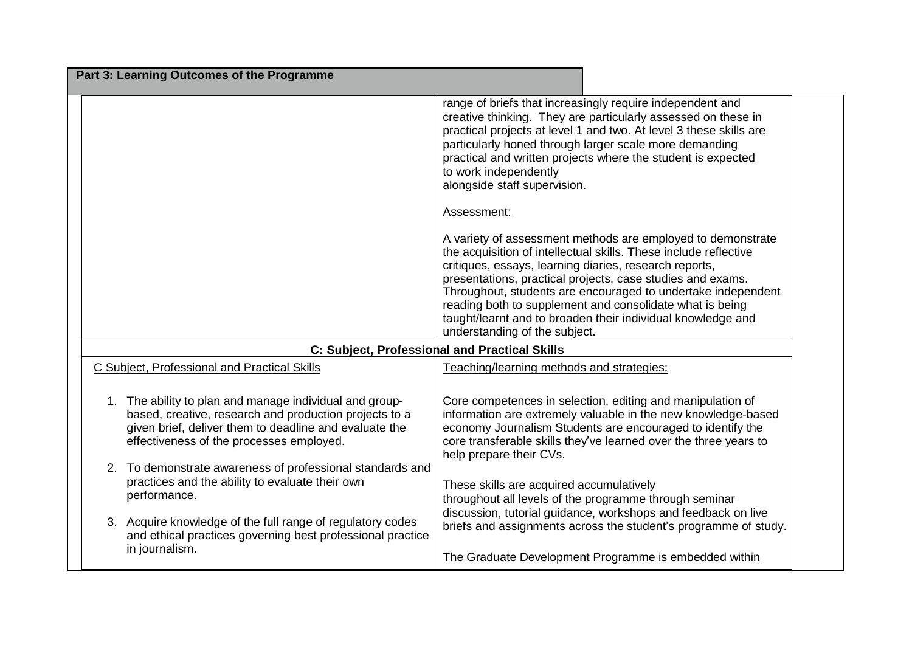| Part 3: Learning Outcomes of the Programme                                                                                                                                                                                                               |                                                                                                                                                                                                                                                                                                                                                                                                                                                                                                    |  |
|----------------------------------------------------------------------------------------------------------------------------------------------------------------------------------------------------------------------------------------------------------|----------------------------------------------------------------------------------------------------------------------------------------------------------------------------------------------------------------------------------------------------------------------------------------------------------------------------------------------------------------------------------------------------------------------------------------------------------------------------------------------------|--|
|                                                                                                                                                                                                                                                          | range of briefs that increasingly require independent and<br>creative thinking. They are particularly assessed on these in<br>practical projects at level 1 and two. At level 3 these skills are<br>particularly honed through larger scale more demanding<br>practical and written projects where the student is expected<br>to work independently<br>alongside staff supervision.                                                                                                                |  |
|                                                                                                                                                                                                                                                          | Assessment:<br>A variety of assessment methods are employed to demonstrate<br>the acquisition of intellectual skills. These include reflective<br>critiques, essays, learning diaries, research reports,<br>presentations, practical projects, case studies and exams.<br>Throughout, students are encouraged to undertake independent<br>reading both to supplement and consolidate what is being<br>taught/learnt and to broaden their individual knowledge and<br>understanding of the subject. |  |
| C: Subject, Professional and Practical Skills                                                                                                                                                                                                            |                                                                                                                                                                                                                                                                                                                                                                                                                                                                                                    |  |
| C Subject, Professional and Practical Skills                                                                                                                                                                                                             | Teaching/learning methods and strategies:                                                                                                                                                                                                                                                                                                                                                                                                                                                          |  |
| 1. The ability to plan and manage individual and group-<br>based, creative, research and production projects to a<br>given brief, deliver them to deadline and evaluate the<br>effectiveness of the processes employed.                                  | Core competences in selection, editing and manipulation of<br>information are extremely valuable in the new knowledge-based<br>economy Journalism Students are encouraged to identify the<br>core transferable skills they've learned over the three years to<br>help prepare their CVs.                                                                                                                                                                                                           |  |
| 2. To demonstrate awareness of professional standards and<br>practices and the ability to evaluate their own<br>performance.<br>3. Acquire knowledge of the full range of regulatory codes<br>and ethical practices governing best professional practice | These skills are acquired accumulatively<br>throughout all levels of the programme through seminar<br>discussion, tutorial guidance, workshops and feedback on live<br>briefs and assignments across the student's programme of study.                                                                                                                                                                                                                                                             |  |
| in journalism.                                                                                                                                                                                                                                           | The Graduate Development Programme is embedded within                                                                                                                                                                                                                                                                                                                                                                                                                                              |  |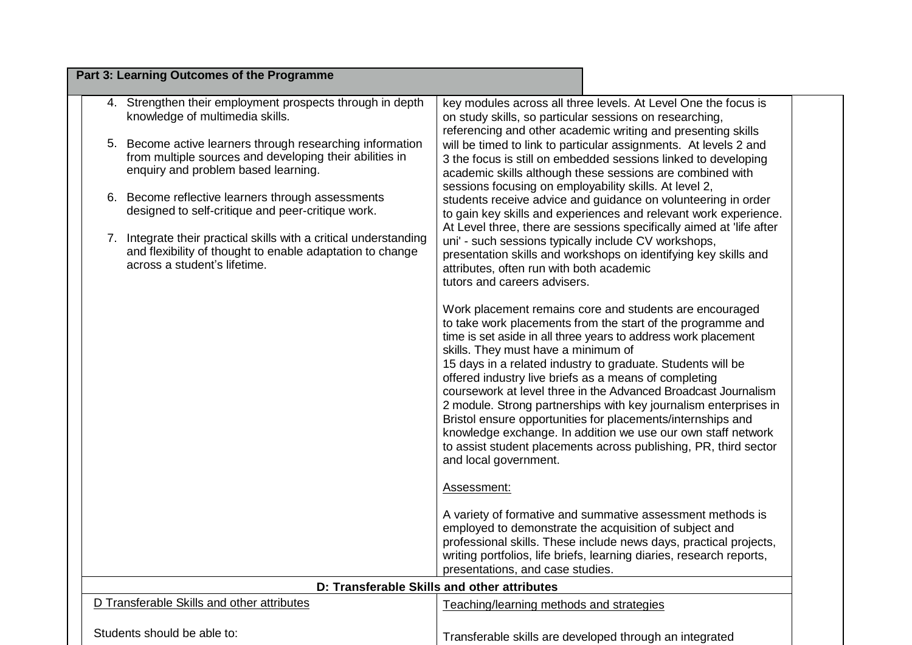| Part 3: Learning Outcomes of the Programme                                                                                                                                                                                                                                                                                                                                                                                                                                                                                                    |                                                                                                                                                                                                                                                                                                                                                                                                                                                                                                                                                                                                                                                                                                                                                                                                                                                                            |
|-----------------------------------------------------------------------------------------------------------------------------------------------------------------------------------------------------------------------------------------------------------------------------------------------------------------------------------------------------------------------------------------------------------------------------------------------------------------------------------------------------------------------------------------------|----------------------------------------------------------------------------------------------------------------------------------------------------------------------------------------------------------------------------------------------------------------------------------------------------------------------------------------------------------------------------------------------------------------------------------------------------------------------------------------------------------------------------------------------------------------------------------------------------------------------------------------------------------------------------------------------------------------------------------------------------------------------------------------------------------------------------------------------------------------------------|
| 4. Strengthen their employment prospects through in depth<br>knowledge of multimedia skills.<br>Become active learners through researching information<br>5.<br>from multiple sources and developing their abilities in<br>enquiry and problem based learning.<br>6. Become reflective learners through assessments<br>designed to self-critique and peer-critique work.<br>Integrate their practical skills with a critical understanding<br>7.<br>and flexibility of thought to enable adaptation to change<br>across a student's lifetime. | key modules across all three levels. At Level One the focus is<br>on study skills, so particular sessions on researching,<br>referencing and other academic writing and presenting skills<br>will be timed to link to particular assignments. At levels 2 and<br>3 the focus is still on embedded sessions linked to developing<br>academic skills although these sessions are combined with<br>sessions focusing on employability skills. At level 2,<br>students receive advice and guidance on volunteering in order<br>to gain key skills and experiences and relevant work experience.<br>At Level three, there are sessions specifically aimed at 'life after<br>uni' - such sessions typically include CV workshops,<br>presentation skills and workshops on identifying key skills and<br>attributes, often run with both academic<br>tutors and careers advisers. |
|                                                                                                                                                                                                                                                                                                                                                                                                                                                                                                                                               | Work placement remains core and students are encouraged<br>to take work placements from the start of the programme and<br>time is set aside in all three years to address work placement<br>skills. They must have a minimum of<br>15 days in a related industry to graduate. Students will be<br>offered industry live briefs as a means of completing<br>coursework at level three in the Advanced Broadcast Journalism<br>2 module. Strong partnerships with key journalism enterprises in<br>Bristol ensure opportunities for placements/internships and<br>knowledge exchange. In addition we use our own staff network<br>to assist student placements across publishing, PR, third sector<br>and local government.                                                                                                                                                  |
|                                                                                                                                                                                                                                                                                                                                                                                                                                                                                                                                               | Assessment:                                                                                                                                                                                                                                                                                                                                                                                                                                                                                                                                                                                                                                                                                                                                                                                                                                                                |
|                                                                                                                                                                                                                                                                                                                                                                                                                                                                                                                                               | A variety of formative and summative assessment methods is<br>employed to demonstrate the acquisition of subject and<br>professional skills. These include news days, practical projects,<br>writing portfolios, life briefs, learning diaries, research reports,<br>presentations, and case studies.                                                                                                                                                                                                                                                                                                                                                                                                                                                                                                                                                                      |
|                                                                                                                                                                                                                                                                                                                                                                                                                                                                                                                                               | D: Transferable Skills and other attributes                                                                                                                                                                                                                                                                                                                                                                                                                                                                                                                                                                                                                                                                                                                                                                                                                                |
| D Transferable Skills and other attributes                                                                                                                                                                                                                                                                                                                                                                                                                                                                                                    | Teaching/learning methods and strategies                                                                                                                                                                                                                                                                                                                                                                                                                                                                                                                                                                                                                                                                                                                                                                                                                                   |
| Students should be able to:                                                                                                                                                                                                                                                                                                                                                                                                                                                                                                                   | Transferable skills are developed through an integrated                                                                                                                                                                                                                                                                                                                                                                                                                                                                                                                                                                                                                                                                                                                                                                                                                    |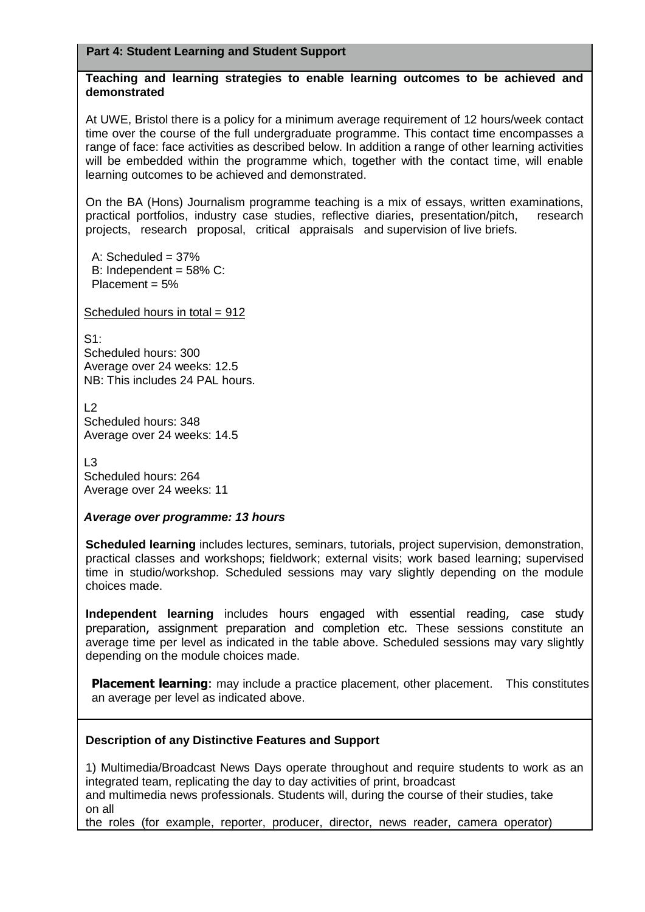**Part 4: Student Learning and Student Support**

**Teaching and learning strategies to enable learning outcomes to be achieved and demonstrated**

At UWE, Bristol there is a policy for a minimum average requirement of 12 hours/week contact time over the course of the full undergraduate programme. This contact time encompasses a range of face: face activities as described below. In addition a range of other learning activities will be embedded within the programme which, together with the contact time, will enable learning outcomes to be achieved and demonstrated.

On the BA (Hons) Journalism programme teaching is a mix of essays, written examinations, practical portfolios, industry case studies, reflective diaries, presentation/pitch, research projects, research proposal, critical appraisals and supervision of live briefs.

A: Scheduled =  $37%$ B: Independent =  $58\%$  C: Placement = 5%

Scheduled hours in total = 912

 $S1$ Scheduled hours: 300 Average over 24 weeks: 12.5 NB: This includes 24 PAL hours.

 $\overline{2}$ Scheduled hours: 348 Average over 24 weeks: 14.5

L3 Scheduled hours: 264 Average over 24 weeks: 11

## *Average over programme: 13 hours*

**Scheduled learning** includes lectures, seminars, tutorials, project supervision, demonstration, practical classes and workshops; fieldwork; external visits; work based learning; supervised time in studio/workshop. Scheduled sessions may vary slightly depending on the module choices made.

**Independent learning** includes hours engaged with essential reading, case study preparation, assignment preparation and completion etc. These sessions constitute an average time per level as indicated in the table above. Scheduled sessions may vary slightly depending on the module choices made.

**Placement learning**: may include a practice placement, other placement. This constitutes an average per level as indicated above.

## **Description of any Distinctive Features and Support**

1) Multimedia/Broadcast News Days operate throughout and require students to work as an integrated team, replicating the day to day activities of print, broadcast

and multimedia news professionals. Students will, during the course of their studies, take on all

the roles (for example, reporter, producer, director, news reader, camera operator)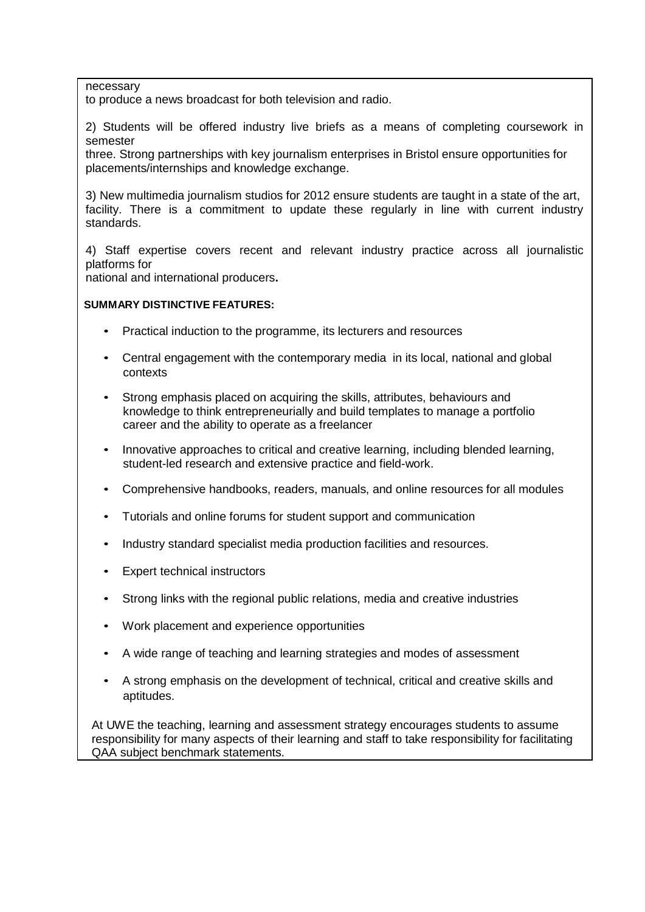necessary

to produce a news broadcast for both television and radio.

2) Students will be offered industry live briefs as a means of completing coursework in semester

three. Strong partnerships with key journalism enterprises in Bristol ensure opportunities for placements/internships and knowledge exchange.

3) New multimedia journalism studios for 2012 ensure students are taught in a state of the art, facility. There is a commitment to update these regularly in line with current industry standards.

4) Staff expertise covers recent and relevant industry practice across all journalistic platforms for

national and international producers**.**

#### **SUMMARY DISTINCTIVE FEATURES:**

- Practical induction to the programme, its lecturers and resources
- Central engagement with the contemporary media in its local, national and global contexts
- Strong emphasis placed on acquiring the skills, attributes, behaviours and knowledge to think entrepreneurially and build templates to manage a portfolio career and the ability to operate as a freelancer
- Innovative approaches to critical and creative learning, including blended learning, student-led research and extensive practice and field-work.
- Comprehensive handbooks, readers, manuals, and online resources for all modules
- Tutorials and online forums for student support and communication
- Industry standard specialist media production facilities and resources.
- **Expert technical instructors**
- Strong links with the regional public relations, media and creative industries
- Work placement and experience opportunities
- A wide range of teaching and learning strategies and modes of assessment
- A strong emphasis on the development of technical, critical and creative skills and aptitudes.

At UWE the teaching, learning and assessment strategy encourages students to assume responsibility for many aspects of their learning and staff to take responsibility for facilitating QAA subject benchmark statements.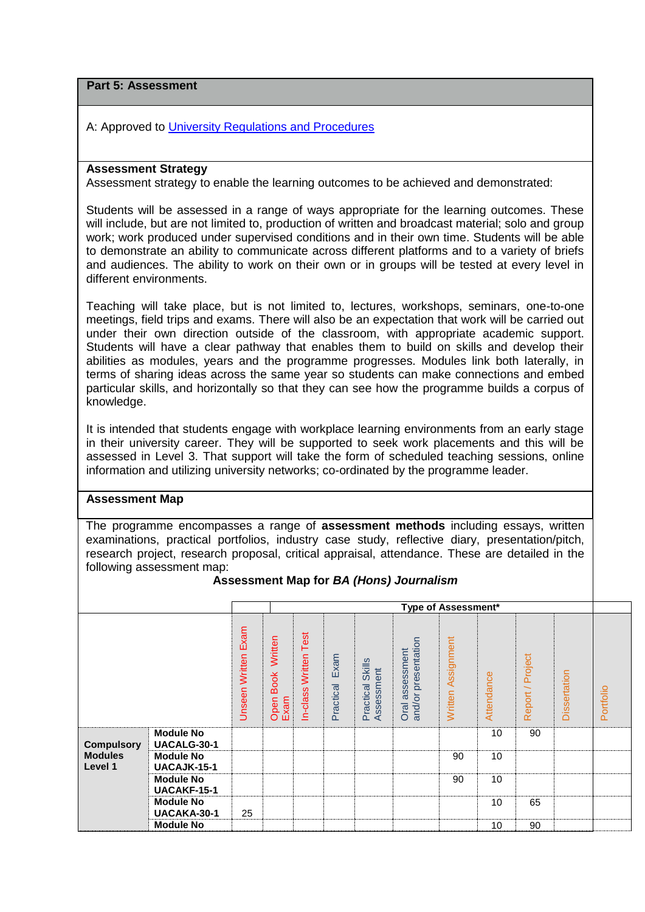**Part 5: Assessment**

A: Approved to [University Regulations and Procedures](http://www1.uwe.ac.uk/students/academicadvice/assessments/regulationsandprocedures.aspx)

#### **Assessment Strategy**

Assessment strategy to enable the learning outcomes to be achieved and demonstrated:

Students will be assessed in a range of ways appropriate for the learning outcomes. These will include, but are not limited to, production of written and broadcast material; solo and group work; work produced under supervised conditions and in their own time. Students will be able to demonstrate an ability to communicate across different platforms and to a variety of briefs and audiences. The ability to work on their own or in groups will be tested at every level in different environments.

Teaching will take place, but is not limited to, lectures, workshops, seminars, one-to-one meetings, field trips and exams. There will also be an expectation that work will be carried out under their own direction outside of the classroom, with appropriate academic support. Students will have a clear pathway that enables them to build on skills and develop their abilities as modules, years and the programme progresses. Modules link both laterally, in terms of sharing ideas across the same year so students can make connections and embed particular skills, and horizontally so that they can see how the programme builds a corpus of knowledge.

It is intended that students engage with workplace learning environments from an early stage in their university career. They will be supported to seek work placements and this will be assessed in Level 3. That support will take the form of scheduled teaching sessions, online information and utilizing university networks; co-ordinated by the programme leader.

#### **Assessment Map**

The programme encompasses a range of **assessment methods** including essays, written examinations, practical portfolios, industry case study, reflective diary, presentation/pitch, research project, research proposal, critical appraisal, attendance. These are detailed in the following assessment map:

|                           |                                        |                     |                                          | Type of Assessment*      |                   |                                          |                                              |                       |            |                   |              |           |
|---------------------------|----------------------------------------|---------------------|------------------------------------------|--------------------------|-------------------|------------------------------------------|----------------------------------------------|-----------------------|------------|-------------------|--------------|-----------|
|                           |                                        | Unseen Written Exam | Written<br><b>Book</b><br>Open I<br>Exam | Written Test<br>In-class | Exam<br>Practical | <b>Skills</b><br>Assessment<br>Practical | presentation<br>assessment<br>and/or<br>Oral | Assignment<br>Written | Attendance | Project<br>Report | Dissertation | Portfolio |
| <b>Compulsory</b>         | <b>Module No</b><br>UACALG-30-1        |                     |                                          |                          |                   |                                          |                                              |                       | 10         | 90                |              |           |
| <b>Modules</b><br>Level 1 | <b>Module No</b><br><b>UACAJK-15-1</b> |                     |                                          |                          |                   |                                          |                                              | 90                    | 10         |                   |              |           |
|                           | <b>Module No</b><br><b>UACAKF-15-1</b> |                     |                                          |                          |                   |                                          |                                              | 90                    | 10         |                   |              |           |
|                           | <b>Module No</b><br>UACAKA-30-1        | 25                  |                                          |                          |                   |                                          |                                              |                       | 10         | 65                |              |           |
|                           | <b>Module No</b>                       |                     |                                          |                          |                   |                                          |                                              |                       | 10         | 90                |              |           |

#### **Assessment Map for** *BA (Hons) Journalism*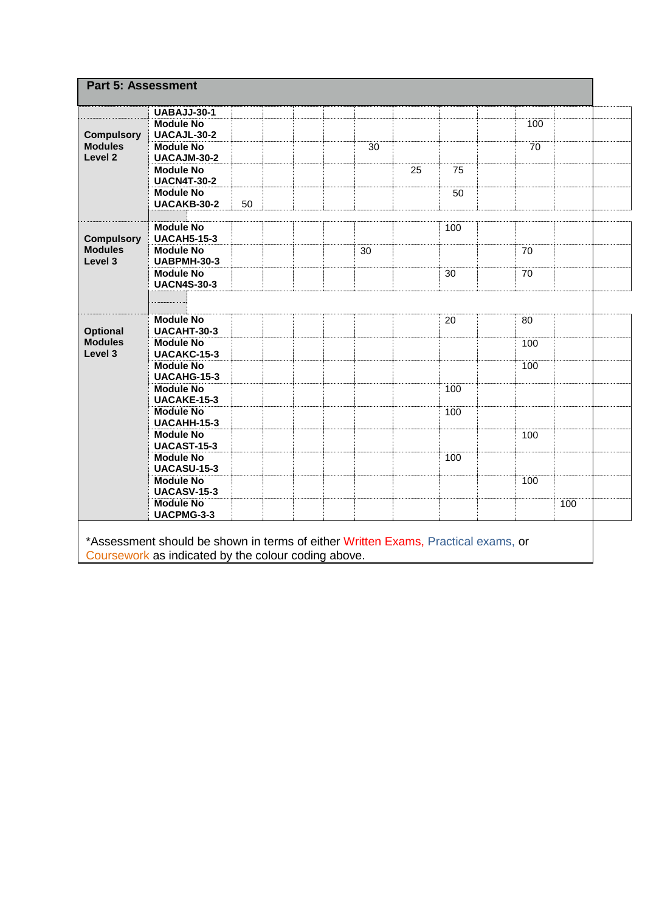| <b>Part 5: Assessment</b>           |                                        |    |    |    |     |     |     |
|-------------------------------------|----------------------------------------|----|----|----|-----|-----|-----|
|                                     | <b>UABAJJ-30-1</b>                     |    |    |    |     |     |     |
|                                     | <b>Module No</b>                       |    |    |    |     | 100 |     |
| <b>Compulsory</b><br><b>Modules</b> | UACAJL-30-2<br><b>Module No</b>        |    | 30 |    |     | 70  |     |
| Level <sub>2</sub>                  | UACAJM-30-2                            |    |    |    |     |     |     |
|                                     | <b>Module No</b>                       |    |    | 25 | 75  |     |     |
|                                     | <b>UACN4T-30-2</b>                     |    |    |    |     |     |     |
|                                     | <b>Module No</b>                       |    |    |    | 50  |     |     |
|                                     | UACAKB-30-2                            | 50 |    |    |     |     |     |
|                                     | <b>Module No</b>                       |    |    |    | 100 |     |     |
| <b>Compulsory</b>                   | <b>UACAH5-15-3</b>                     |    |    |    |     |     |     |
| <b>Modules</b>                      | <b>Module No</b>                       |    | 30 |    |     | 70  |     |
| Level 3                             | <b>UABPMH-30-3</b>                     |    |    |    |     |     |     |
|                                     | <b>Module No</b>                       |    |    |    | 30  | 70  |     |
|                                     | <b>UACN4S-30-3</b>                     |    |    |    |     |     |     |
|                                     |                                        |    |    |    |     |     |     |
|                                     | <b>Module No</b>                       |    |    |    | 20  | 80  |     |
| <b>Optional</b>                     | UACAHT-30-3                            |    |    |    |     |     |     |
| <b>Modules</b>                      | <b>Module No</b>                       |    |    |    |     | 100 |     |
| Level 3                             | UACAKC-15-3                            |    |    |    |     |     |     |
|                                     | <b>Module No</b>                       |    |    |    |     | 100 |     |
|                                     | UACAHG-15-3<br><b>Module No</b>        |    |    |    | 100 |     |     |
|                                     | <b>UACAKE-15-3</b>                     |    |    |    |     |     |     |
|                                     | <b>Module No</b>                       |    |    |    | 100 |     |     |
|                                     | UACAHH-15-3                            |    |    |    |     |     |     |
|                                     | <b>Module No</b>                       |    |    |    |     | 100 |     |
|                                     | <b>UACAST-15-3</b>                     |    |    |    |     |     |     |
|                                     | <b>Module No</b><br><b>UACASU-15-3</b> |    |    |    | 100 |     |     |
|                                     | <b>Module No</b>                       |    |    |    |     | 100 |     |
|                                     | <b>UACASV-15-3</b>                     |    |    |    |     |     |     |
|                                     | <b>Module No</b>                       |    |    |    |     |     | 100 |
|                                     | UACPMG-3-3                             |    |    |    |     |     |     |

Coursework as indicated by the colour coding above.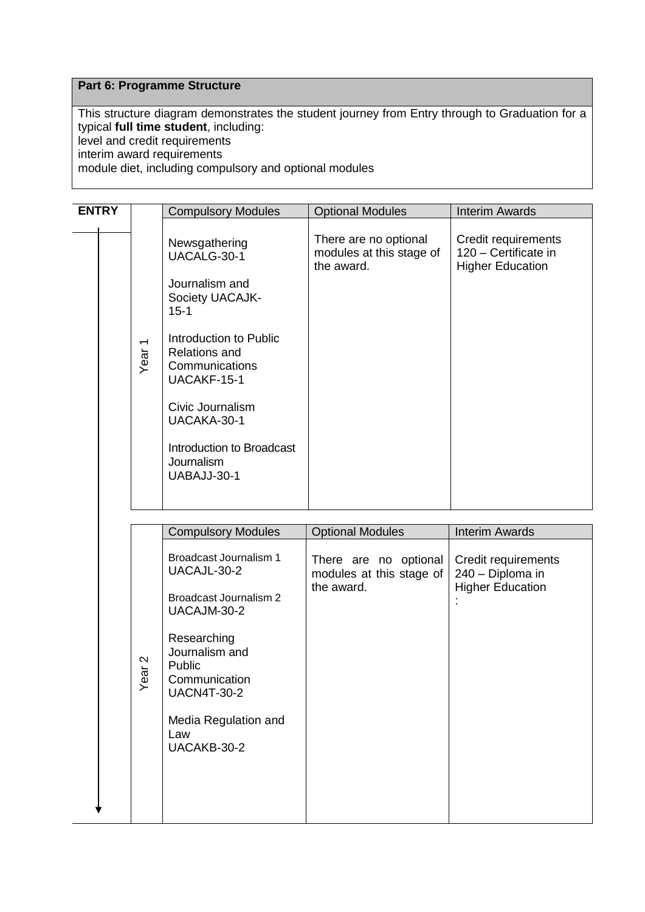# **Part 6: Programme Structure**

This structure diagram demonstrates the student journey from Entry through to Graduation for a typical **full time student**, including: level and credit requirements interim award requirements module diet, including compulsory and optional modules

| <b>ENTRY</b> |                                 | <b>Compulsory Modules</b>                                                                                                                                                                                                                                     | <b>Optional Modules</b>                                         | <b>Interim Awards</b>                                                  |  |
|--------------|---------------------------------|---------------------------------------------------------------------------------------------------------------------------------------------------------------------------------------------------------------------------------------------------------------|-----------------------------------------------------------------|------------------------------------------------------------------------|--|
|              | Year <sub>1</sub>               | Newsgathering<br>UACALG-30-1<br>Journalism and<br>Society UACAJK-<br>$15 - 1$<br>Introduction to Public<br><b>Relations and</b><br>Communications<br>UACAKF-15-1<br>Civic Journalism<br>UACAKA-30-1<br>Introduction to Broadcast<br>Journalism<br>UABAJJ-30-1 | There are no optional<br>modules at this stage of<br>the award. | Credit requirements<br>120 - Certificate in<br><b>Higher Education</b> |  |
|              |                                 | <b>Compulsory Modules</b>                                                                                                                                                                                                                                     | <b>Optional Modules</b>                                         | <b>Interim Awards</b>                                                  |  |
|              | $\boldsymbol{\sim}$<br>ear<br>≻ | <b>Broadcast Journalism 1</b><br>UACAJL-30-2<br><b>Broadcast Journalism 2</b><br>UACAJM-30-2<br>Researching<br>Journalism and<br>Public<br>Communication<br><b>UACN4T-30-2</b><br>Media Regulation and<br>Law<br>UACAKB-30-2                                  | There are no optional<br>modules at this stage of<br>the award. | Credit requirements<br>240 - Diploma in<br><b>Higher Education</b>     |  |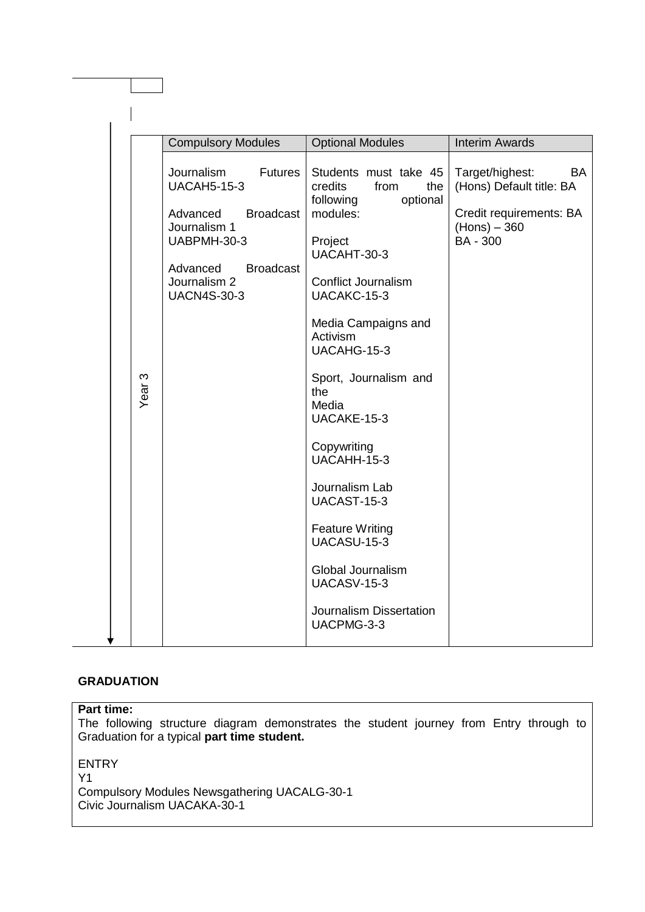|                        | <b>Compulsory Modules</b>                                                                                                                                                               | <b>Optional Modules</b>                                                                                                                                                                                                                                                                                                                                                                                                                                                  | <b>Interim Awards</b>                                                                                                    |
|------------------------|-----------------------------------------------------------------------------------------------------------------------------------------------------------------------------------------|--------------------------------------------------------------------------------------------------------------------------------------------------------------------------------------------------------------------------------------------------------------------------------------------------------------------------------------------------------------------------------------------------------------------------------------------------------------------------|--------------------------------------------------------------------------------------------------------------------------|
| S<br>Year <sup>-</sup> | Journalism<br><b>Futures</b><br><b>UACAH5-15-3</b><br>Advanced<br><b>Broadcast</b><br>Journalism 1<br>UABPMH-30-3<br>Advanced<br><b>Broadcast</b><br>Journalism 2<br><b>UACN4S-30-3</b> | Students must take 45<br>credits<br>from<br>the<br>optional<br>following<br>modules:<br>Project<br>UACAHT-30-3<br><b>Conflict Journalism</b><br>UACAKC-15-3<br>Media Campaigns and<br>Activism<br>UACAHG-15-3<br>Sport, Journalism and<br>the<br>Media<br>UACAKE-15-3<br>Copywriting<br>UACAHH-15-3<br>Journalism Lab<br>UACAST-15-3<br><b>Feature Writing</b><br><b>UACASU-15-3</b><br>Global Journalism<br><b>UACASV-15-3</b><br>Journalism Dissertation<br>UACPMG-3-3 | Target/highest:<br><b>BA</b><br>(Hons) Default title: BA<br>Credit requirements: BA<br>$(Hons) - 360$<br><b>BA - 300</b> |

# **GRADUATION**

 $\overline{\phantom{a}}$ 

**Part time:**

The following structure diagram demonstrates the student journey from Entry through to Graduation for a typical **part time student.**

ENTRY

Y1

Compulsory Modules Newsgathering UACALG-30-1 Civic Journalism UACAKA-30-1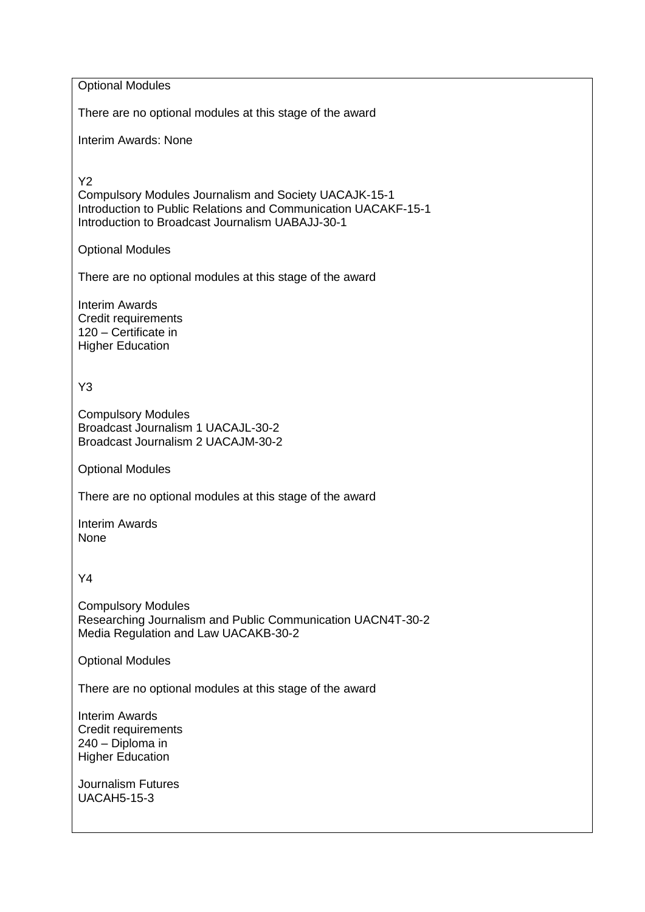Optional Modules

There are no optional modules at this stage of the award

Interim Awards: None

Y2

Compulsory Modules Journalism and Society UACAJK-15-1 Introduction to Public Relations and Communication UACAKF-15-1 Introduction to Broadcast Journalism UABAJJ-30-1

Optional Modules

There are no optional modules at this stage of the award

Interim Awards Credit requirements 120 – Certificate in Higher Education

Y3

Compulsory Modules Broadcast Journalism 1 UACAJL-30-2 Broadcast Journalism 2 UACAJM-30-2

Optional Modules

There are no optional modules at this stage of the award

Interim Awards None

Y4

Compulsory Modules Researching Journalism and Public Communication UACN4T-30-2 Media Regulation and Law UACAKB-30-2

Optional Modules

There are no optional modules at this stage of the award

Interim Awards Credit requirements 240 – Diploma in Higher Education

Journalism Futures UACAH5-15-3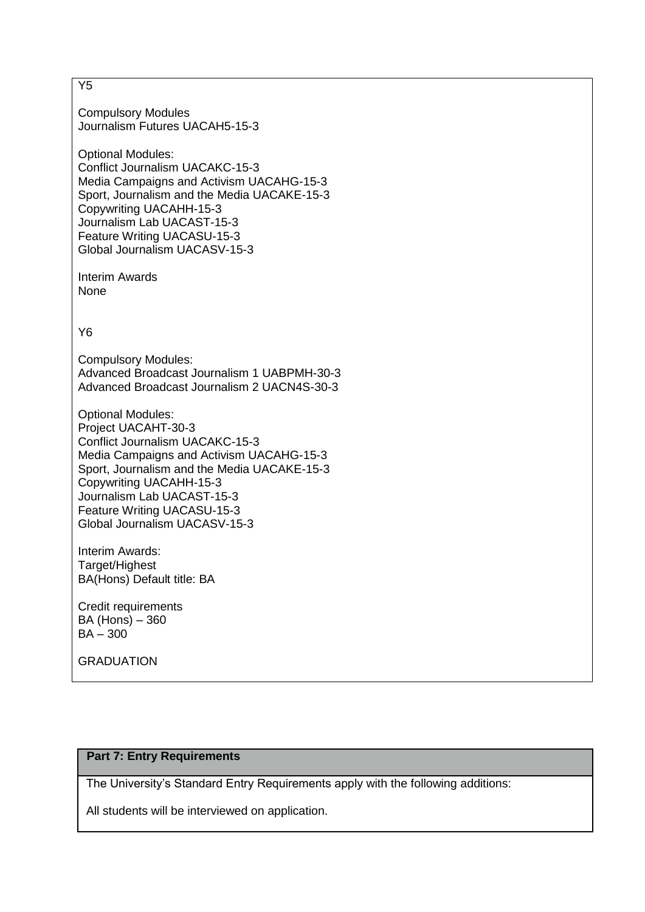#### Y5

Compulsory Modules Journalism Futures UACAH5-15-3

Optional Modules: Conflict Journalism UACAKC-15-3 Media Campaigns and Activism UACAHG-15-3 Sport, Journalism and the Media UACAKE-15-3 Copywriting UACAHH-15-3 Journalism Lab UACAST-15-3 Feature Writing UACASU-15-3 Global Journalism UACASV-15-3

Interim Awards None

Y6

Compulsory Modules: Advanced Broadcast Journalism 1 UABPMH-30-3 Advanced Broadcast Journalism 2 UACN4S-30-3

Optional Modules: Project UACAHT-30-3 Conflict Journalism UACAKC-15-3 Media Campaigns and Activism UACAHG-15-3 Sport, Journalism and the Media UACAKE-15-3 Copywriting UACAHH-15-3 Journalism Lab UACAST-15-3 Feature Writing UACASU-15-3 Global Journalism UACASV-15-3

Interim Awards: Target/Highest BA(Hons) Default title: BA

Credit requirements BA (Hons) – 360 BA – 300

**GRADUATION** 

# **Part 7: Entry Requirements**

The University's Standard Entry Requirements apply with the following additions:

All students will be interviewed on application.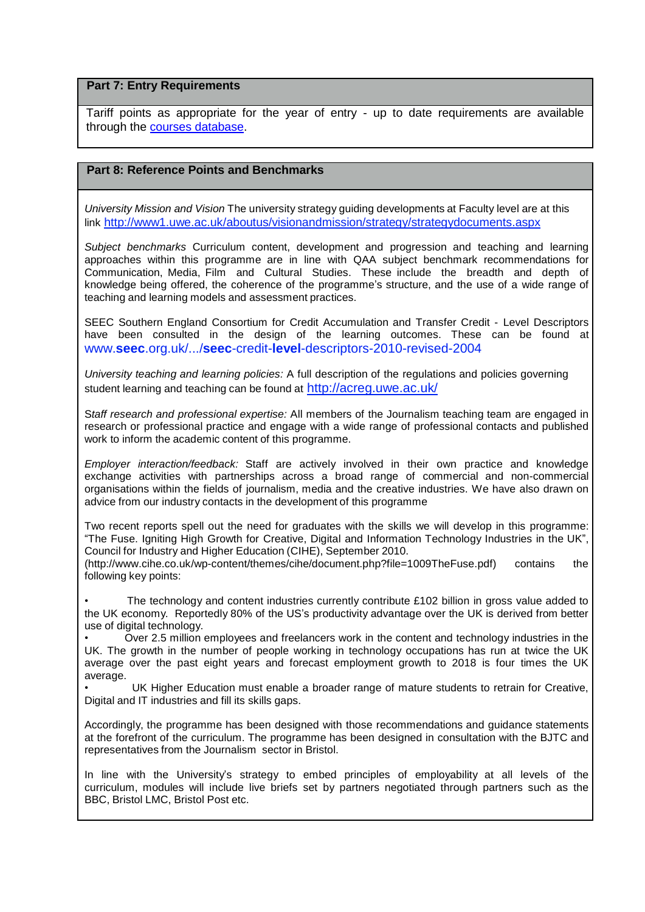#### **Part 7: Entry Requirements**

Tariff points as appropriate for the year of entry - up to date requirements are available through the [courses database.](http://www1.uwe.ac.uk/whatcanistudy/courses)

#### **Part 8: Reference Points and Benchmarks**

*University Mission and Vision* The university strategy guiding developments at Faculty level are at this link <http://www1.uwe.ac.uk/aboutus/visionandmission/strategy/strategydocuments.aspx>

*Subject benchmarks* Curriculum content, development and progression and teaching and learning approaches within this programme are in line with QAA subject benchmark recommendations for Communication, Media, Film and Cultural Studies. These include the breadth and depth of knowledge being offered, the coherence of the programme's structure, and the use of a wide range of teaching and learning models and assessment practices.

SEEC Southern England Consortium for Credit Accumulation and Transfer Credit - Level Descriptors have been consulted in the design of the learning outcomes. These can be found at www.**seec**.org.uk/.../**seec**-credit-**level**[-descriptors-2010-revised-2004](http://www.seec.org.uk/.../seec-credit-level-descriptors-2010-revised-2004)

*University teaching and learning policies:* A full description of the regulations and policies governing student learning and teaching can be found at <http://acreg.uwe.ac.uk/>

S*taff research and professional expertise:* All members of the Journalism teaching team are engaged in research or professional practice and engage with a wide range of professional contacts and published work to inform the academic content of this programme.

*Employer interaction/feedback:* Staff are actively involved in their own practice and knowledge exchange activities with partnerships across a broad range of commercial and non-commercial organisations within the fields of journalism, media and the creative industries. We have also drawn on advice from our industry contacts in the development of this programme

Two recent reports spell out the need for graduates with the skills we will develop in this programme: "The Fuse. Igniting High Growth for Creative, Digital and Information Technology Industries in the UK", Council for Industry and Higher Education (CIHE), September 2010.

[\(http://www.cihe.co.uk/wp-content/themes/cihe/document.php?file=1009TheFuse.pdf\) c](http://www.cihe.co.uk/wp-content/themes/cihe/document.php?file=1009TheFuse.pdf))ontains the following key points:

The technology and content industries currently contribute £102 billion in gross value added to the UK economy. Reportedly 80% of the US's productivity advantage over the UK is derived from better use of digital technology.

• Over 2.5 million employees and freelancers work in the content and technology industries in the UK. The growth in the number of people working in technology occupations has run at twice the UK average over the past eight years and forecast employment growth to 2018 is four times the UK average.

• UK Higher Education must enable a broader range of mature students to retrain for Creative, Digital and IT industries and fill its skills gaps.

Accordingly, the programme has been designed with those recommendations and guidance statements at the forefront of the curriculum. The programme has been designed in consultation with the BJTC and representatives from the Journalism sector in Bristol.

In line with the University's strategy to embed principles of employability at all levels of the curriculum, modules will include live briefs set by partners negotiated through partners such as the BBC, Bristol LMC, Bristol Post etc.